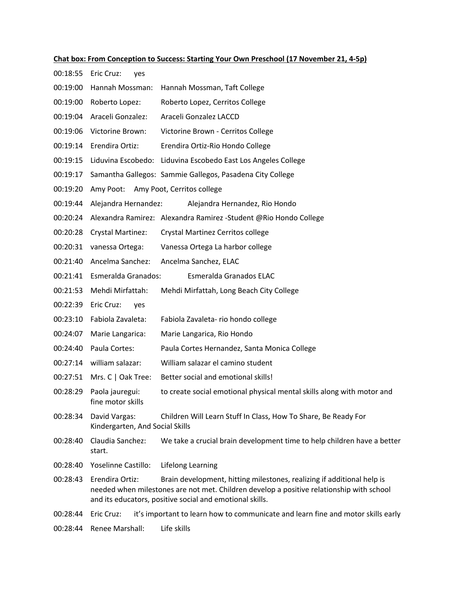**Chat box: From Conception to Success: Starting Your Own Preschool (17 November 21, 4-5p)** 00:18:55 Eric Cruz: yes 00:19:00 Hannah Mossman: Hannah Mossman, Taft College 00:19:00 Roberto Lopez: Roberto Lopez, Cerritos College 00:19:04 Araceli Gonzalez: Araceli Gonzalez LACCD 00:19:06 Victorine Brown: Victorine Brown - Cerritos College 00:19:14 Erendira Ortiz: Erendira Ortiz-Rio Hondo College 00:19:15 Liduvina Escobedo: Liduvina Escobedo East Los Angeles College 00:19:17 Samantha Gallegos: Sammie Gallegos, Pasadena City College 00:19:20 Amy Poot: Amy Poot, Cerritos college 00:19:44 Alejandra Hernandez: Alejandra Hernandez, Rio Hondo 00:20:24 Alexandra Ramirez: Alexandra Ramirez -Student @Rio Hondo College 00:20:28 Crystal Martinez: Crystal Martinez Cerritos college 00:20:31 vanessa Ortega: Vanessa Ortega La harbor college 00:21:40 Ancelma Sanchez: Ancelma Sanchez, ELAC 00:21:41 Esmeralda Granados: Esmeralda Granados ELAC 00:21:53 Mehdi Mirfattah: Mehdi Mirfattah, Long Beach City College 00:22:39 Eric Cruz: yes 00:23:10 Fabiola Zavaleta: Fabiola Zavaleta- rio hondo college 00:24:07 Marie Langarica: Marie Langarica, Rio Hondo 00:24:40 Paula Cortes: Paula Cortes Hernandez, Santa Monica College 00:27:14 william salazar: William salazar el camino student 00:27:51 Mrs. C | Oak Tree: Better social and emotional skills! 00:28:29 Paola jauregui: to create social emotional physical mental skills along with motor and fine motor skills 00:28:34 David Vargas: Children Will Learn Stuff In Class, How To Share, Be Ready For Kindergarten, And Social Skills 00:28:40 Claudia Sanchez: We take a crucial brain development time to help children have a better start. 00:28:40 Yoselinne Castillo: Lifelong Learning 00:28:43 Erendira Ortiz: Brain development, hitting milestones, realizing if additional help is needed when milestones are not met. Children develop a positive relationship with school and its educators, positive social and emotional skills.

00:28:44 Eric Cruz: it's important to learn how to communicate and learn fine and motor skills early

00:28:44 Renee Marshall: Life skills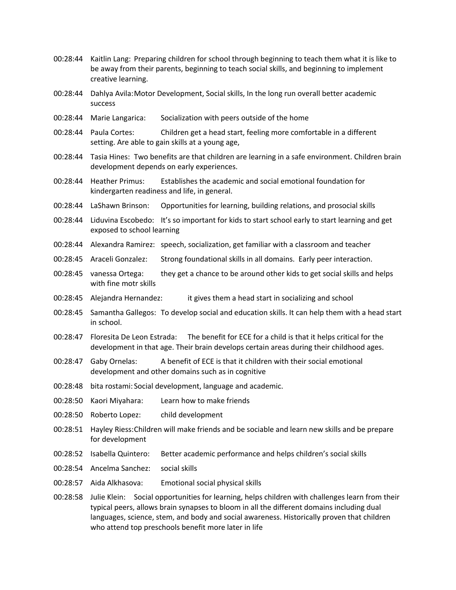- 00:28:44 Kaitlin Lang: Preparing children for school through beginning to teach them what it is like to be away from their parents, beginning to teach social skills, and beginning to implement creative learning.
- 00:28:44 Dahlya Avila:Motor Development, Social skills, In the long run overall better academic success
- 00:28:44 Marie Langarica: Socialization with peers outside of the home
- 00:28:44 Paula Cortes: Children get a head start, feeling more comfortable in a different setting. Are able to gain skills at a young age,
- 00:28:44 Tasia Hines: Two benefits are that children are learning in a safe environment. Children brain development depends on early experiences.
- 00:28:44 Heather Primus: Establishes the academic and social emotional foundation for kindergarten readiness and life, in general.
- 00:28:44 LaShawn Brinson: Opportunities for learning, building relations, and prosocial skills
- 00:28:44 Liduvina Escobedo: It's so important for kids to start school early to start learning and get exposed to school learning
- 00:28:44 Alexandra Ramirez: speech, socialization, get familiar with a classroom and teacher
- 00:28:45 Araceli Gonzalez: Strong foundational skills in all domains. Early peer interaction.
- 00:28:45 vanessa Ortega: they get a chance to be around other kids to get social skills and helps with fine motr skills
- 00:28:45 Alejandra Hernandez: it gives them a head start in socializing and school
- 00:28:45 Samantha Gallegos: To develop social and education skills. It can help them with a head start in school.
- 00:28:47 Floresita De Leon Estrada: The benefit for ECE for a child is that it helps critical for the development in that age. Their brain develops certain areas during their childhood ages.
- 00:28:47 Gaby Ornelas: A benefit of ECE is that it children with their social emotional development and other domains such as in cognitive
- 00:28:48 bita rostami: Social development, language and academic.
- 00:28:50 Kaori Miyahara: Learn how to make friends
- 00:28:50 Roberto Lopez: child development
- 00:28:51 Hayley Riess:Children will make friends and be sociable and learn new skills and be prepare for development
- 00:28:52 Isabella Quintero: Better academic performance and helps children's social skills
- 00:28:54 Ancelma Sanchez: social skills
- 00:28:57 Aida Alkhasova: Emotional social physical skills
- 00:28:58 Julie Klein: Social opportunities for learning, helps children with challenges learn from their typical peers, allows brain synapses to bloom in all the different domains including dual languages, science, stem, and body and social awareness. Historically proven that children who attend top preschools benefit more later in life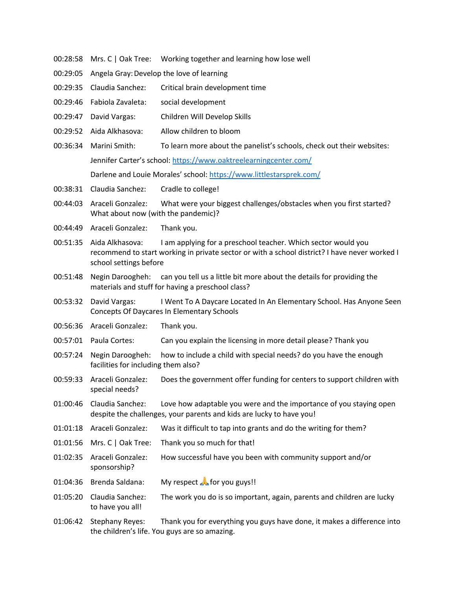- 00:28:58 Mrs. C | Oak Tree: Working together and learning how lose well
- 00:29:05 Angela Gray: Develop the love of learning
- 00:29:35 Claudia Sanchez: Critical brain development time
- 00:29:46 Fabiola Zavaleta: social development
- 00:29:47 David Vargas: Children Will Develop Skills
- 00:29:52 Aida Alkhasova: Allow children to bloom
- 00:36:34 Marini Smith: To learn more about the panelist's schools, check out their websites: Jennifer Carter's school: https://www.oaktreelearningcenter.com/ Darlene and Louie Morales' school: https://www.littlestarsprek.com/
- 00:38:31 Claudia Sanchez: Cradle to college!
- 00:44:03 Araceli Gonzalez: What were your biggest challenges/obstacles when you first started? What about now (with the pandemic)?
- 00:44:49 Araceli Gonzalez: Thank you.
- 00:51:35 Aida Alkhasova: I am applying for a preschool teacher. Which sector would you recommend to start working in private sector or with a school district? I have never worked I school settings before
- 00:51:48 Negin Daroogheh: can you tell us a little bit more about the details for providing the materials and stuff for having a preschool class?
- 00:53:32 David Vargas: I Went To A Daycare Located In An Elementary School. Has Anyone Seen Concepts Of Daycares In Elementary Schools
- 00:56:36 Araceli Gonzalez: Thank you.
- 00:57:01 Paula Cortes: Can you explain the licensing in more detail please? Thank you
- 00:57:24 Negin Daroogheh: how to include a child with special needs? do you have the enough facilities for including them also?
- 00:59:33 Araceli Gonzalez: Does the government offer funding for centers to support children with special needs?
- 01:00:46 Claudia Sanchez: Love how adaptable you were and the importance of you staying open despite the challenges, your parents and kids are lucky to have you!
- 01:01:18 Araceli Gonzalez: Was it difficult to tap into grants and do the writing for them?
- 01:01:56 Mrs. C | Oak Tree: Thank you so much for that!
- 01:02:35 Araceli Gonzalez: How successful have you been with community support and/or sponsorship?
- 01:04:36 Brenda Saldana: My respect **A** for you guys!!
- 01:05:20 Claudia Sanchez: The work you do is so important, again, parents and children are lucky to have you all!
- 01:06:42 Stephany Reyes: Thank you for everything you guys have done, it makes a difference into the children's life. You guys are so amazing.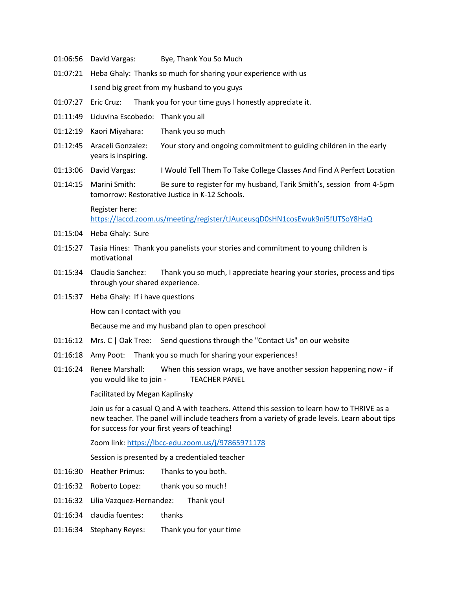- 01:06:56 David Vargas: Bye, Thank You So Much
- 01:07:21 Heba Ghaly: Thanks so much for sharing your experience with us I send big greet from my husband to you guys
- 01:07:27 Eric Cruz: Thank you for your time guys I honestly appreciate it.
- 01:11:49 Liduvina Escobedo: Thank you all
- 01:12:19 Kaori Miyahara: Thank you so much
- 01:12:45 Araceli Gonzalez: Your story and ongoing commitment to guiding children in the early years is inspiring.
- 01:13:06 David Vargas: I Would Tell Them To Take College Classes And Find A Perfect Location
- 01:14:15 Marini Smith: Be sure to register for my husband, Tarik Smith's, session from 4-5pm tomorrow: Restorative Justice in K-12 Schools.

Register here: https://laccd.zoom.us/meeting/register/tJAuceusqD0sHN1cosEwuk9ni5fUTSoY8HaQ

- 01:15:04 Heba Ghaly: Sure
- 01:15:27 Tasia Hines: Thank you panelists your stories and commitment to young children is motivational
- 01:15:34 Claudia Sanchez: Thank you so much, I appreciate hearing your stories, process and tips through your shared experience.
- 01:15:37 Heba Ghaly: If i have questions How can I contact with you

Because me and my husband plan to open preschool

- 01:16:12 Mrs. C | Oak Tree: Send questions through the "Contact Us" on our website
- 01:16:18 Amy Poot: Thank you so much for sharing your experiences!
- 01:16:24 Renee Marshall: When this session wraps, we have another session happening now if you would like to join - TEACHER PANEL

Facilitated by Megan Kaplinsky

Join us for a casual Q and A with teachers. Attend this session to learn how to THRIVE as a new teacher. The panel will include teachers from a variety of grade levels. Learn about tips for success for your first years of teaching!

Zoom link: https://lbcc-edu.zoom.us/j/97865971178

Session is presented by a credentialed teacher

- 01:16:30 Heather Primus: Thanks to you both.
- 01:16:32 Roberto Lopez: thank you so much!
- 01:16:32 Lilia Vazquez-Hernandez: Thank you!
- 01:16:34 claudia fuentes: thanks
- 01:16:34 Stephany Reyes: Thank you for your time